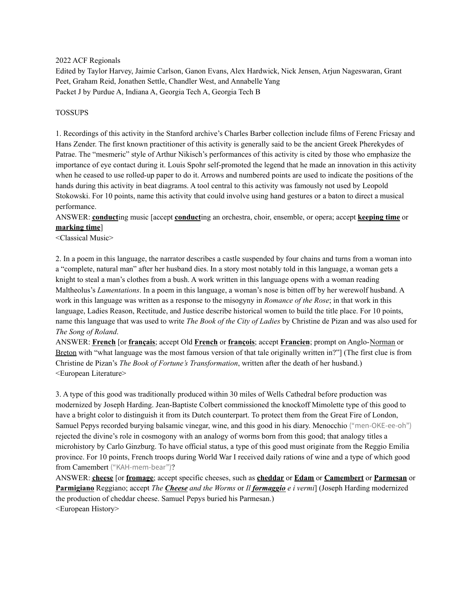2022 ACF Regionals

Edited by Taylor Harvey, Jaimie Carlson, Ganon Evans, Alex Hardwick, Nick Jensen, Arjun Nageswaran, Grant Peet, Graham Reid, Jonathen Settle, Chandler West, and Annabelle Yang Packet J by Purdue A, Indiana A, Georgia Tech A, Georgia Tech B

#### TOSSUPS

1. Recordings of this activity in the Stanford archive's Charles Barber collection include films of Ferenc Fricsay and Hans Zender. The first known practitioner of this activity is generally said to be the ancient Greek Pherekydes of Patrae. The "mesmeric" style of Arthur Nikisch's performances of this activity is cited by those who emphasize the importance of eye contact during it. Louis Spohr self-promoted the legend that he made an innovation in this activity when he ceased to use rolled-up paper to do it. Arrows and numbered points are used to indicate the positions of the hands during this activity in beat diagrams. A tool central to this activity was famously not used by Leopold Stokowski. For 10 points, name this activity that could involve using hand gestures or a baton to direct a musical performance.

ANSWER: **conduct**ing music [accept **conduct**ing an orchestra, choir, ensemble, or opera; accept **keeping time** or **marking time**]

<Classical Music>

2. In a poem in this language, the narrator describes a castle suspended by four chains and turns from a woman into a "complete, natural man" after her husband dies. In a story most notably told in this language, a woman gets a knight to steal a man's clothes from a bush. A work written in this language opens with a woman reading Maltheolus's *Lamentations*. In a poem in this language, a woman's nose is bitten off by her werewolf husband. A work in this language was written as a response to the misogyny in *Romance of the Rose*; in that work in this language, Ladies Reason, Rectitude, and Justice describe historical women to build the title place. For 10 points, name this language that was used to write *The Book of the City of Ladies* by Christine de Pizan and was also used for *The Song of Roland*.

ANSWER: **French** [or **français**; accept Old **French** or **françois**; accept **Francien**; prompt on Anglo-Norman or Breton with "what language was the most famous version of that tale originally written in?"] (The first clue is from Christine de Pizan's *The Book of Fortune's Transformation*, written after the death of her husband.) <European Literature>

3. A type of this good was traditionally produced within 30 miles of Wells Cathedral before production was modernized by Joseph Harding. Jean-Baptiste Colbert commissioned the knockoff Mimolette type of this good to have a bright color to distinguish it from its Dutch counterpart. To protect them from the Great Fire of London, Samuel Pepys recorded burying balsamic vinegar, wine, and this good in his diary. Menocchio ("men-OKE-ee-oh") rejected the divine's role in cosmogony with an analogy of worms born from this good; that analogy titles a microhistory by Carlo Ginzburg. To have official status, a type of this good must originate from the Reggio Emilia province. For 10 points, French troops during World War I received daily rations of wine and a type of which good from Camembert ("KAH-mem-bear")?

ANSWER: **cheese** [or **fromage**; accept specific cheeses, such as **cheddar** or **Edam** or **Camembert** or **Parmesan** or **Parmigiano** Reggiano; accept *The Cheese and the Worms* or *Il formaggio e i vermi*] (Joseph Harding modernized the production of cheddar cheese. Samuel Pepys buried his Parmesan.) <European History>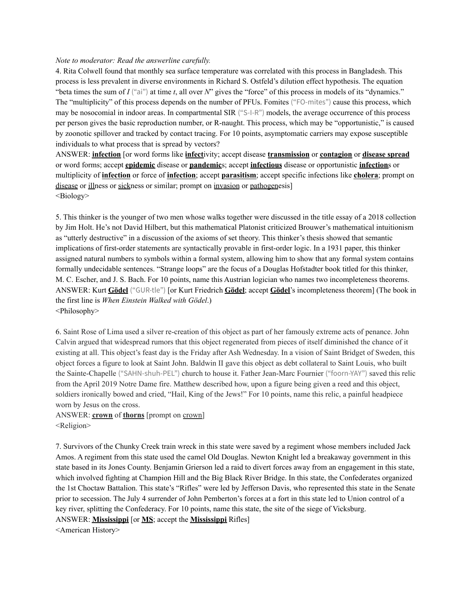#### *Note to moderator: Read the answerline carefully.*

4. Rita Colwell found that monthly sea surface temperature was correlated with this process in Bangladesh. This process is less prevalent in diverse environments in Richard S. Ostfeld's dilution effect hypothesis. The equation "beta times the sum of *I* ("ai") at time *t*, all over *N*" gives the "force" of this process in models of its "dynamics." The "multiplicity" of this process depends on the number of PFUs. Fomites ("FO-mites") cause this process, which may be nosocomial in indoor areas. In compartmental SIR ("S-I-R") models, the average occurrence of this process per person gives the basic reproduction number, or R-naught. This process, which may be "opportunistic," is caused by zoonotic spillover and tracked by contact tracing. For 10 points, asymptomatic carriers may expose susceptible individuals to what process that is spread by vectors?

ANSWER: **infection** [or word forms like **infect**ivity; accept disease **transmission** or **contagion** or **disease spread** or word forms; accept **epidemic** disease or **pandemic**s; accept **infectious** disease or opportunistic **infection**s or multiplicity of **infection** or force of **infection**; accept **parasitism**; accept specific infections like **cholera**; prompt on disease or illness or sickness or similar; prompt on invasion or pathogenesis] <Biology>

5. This thinker is the younger of two men whose walks together were discussed in the title essay of a 2018 collection by Jim Holt. He's not David Hilbert, but this mathematical Platonist criticized Brouwer's mathematical intuitionism as "utterly destructive" in a discussion of the axioms of set theory. This thinker's thesis showed that semantic implications of first-order statements are syntactically provable in first-order logic. In a 1931 paper, this thinker assigned natural numbers to symbols within a formal system, allowing him to show that any formal system contains formally undecidable sentences. "Strange loops" are the focus of a Douglas Hofstadter book titled for this thinker, M. C. Escher, and J. S. Bach. For 10 points, name this Austrian logician who names two incompleteness theorems. ANSWER: Kurt **Gödel** ("GUR-tle") [or Kurt Friedrich **Gödel**; accept **Gödel**'s incompleteness theorem] (The book in the first line is *When Einstein Walked with Gödel*.) <Philosophy>

6. Saint Rose of Lima used a silver re-creation of this object as part of her famously extreme acts of penance. John Calvin argued that widespread rumors that this object regenerated from pieces of itself diminished the chance of it existing at all. This object's feast day is the Friday after Ash Wednesday. In a vision of Saint Bridget of Sweden, this object forces a figure to look at Saint John. Baldwin II gave this object as debt collateral to Saint Louis, who built the Sainte-Chapelle ("SAHN-shuh-PEL") church to house it. Father Jean-Marc Fournier ("foorn-YAY") saved this relic from the April 2019 Notre Dame fire. Matthew described how, upon a figure being given a reed and this object, soldiers ironically bowed and cried, "Hail, King of the Jews!" For 10 points, name this relic, a painful headpiece worn by Jesus on the cross.

ANSWER: **crown** of **thorns** [prompt on crown] <Religion>

7. Survivors of the Chunky Creek train wreck in this state were saved by a regiment whose members included Jack Amos. A regiment from this state used the camel Old Douglas. Newton Knight led a breakaway government in this state based in its Jones County. Benjamin Grierson led a raid to divert forces away from an engagement in this state, which involved fighting at Champion Hill and the Big Black River Bridge. In this state, the Confederates organized the 1st Choctaw Battalion. This state's "Rifles" were led by Jefferson Davis, who represented this state in the Senate prior to secession. The July 4 surrender of John Pemberton's forces at a fort in this state led to Union control of a key river, splitting the Confederacy. For 10 points, name this state, the site of the siege of Vicksburg. ANSWER: **Mississippi** [or **MS**; accept the **Mississippi** Rifles]

<American History>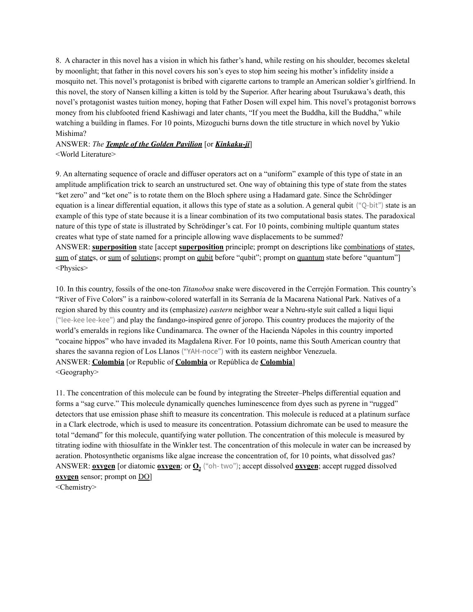8. A character in this novel has a vision in which his father's hand, while resting on his shoulder, becomes skeletal by moonlight; that father in this novel covers his son's eyes to stop him seeing his mother's infidelity inside a mosquito net. This novel's protagonist is bribed with cigarette cartons to trample an American soldier's girlfriend. In this novel, the story of Nansen killing a kitten is told by the Superior. After hearing about Tsurukawa's death, this novel's protagonist wastes tuition money, hoping that Father Dosen will expel him. This novel's protagonist borrows money from his clubfooted friend Kashiwagi and later chants, "If you meet the Buddha, kill the Buddha," while watching a building in flames. For 10 points, Mizoguchi burns down the title structure in which novel by Yukio Mishima?

## ANSWER: *The Temple of the Golden Pavilion* [or *Kinkaku-ji*] <World Literature>

9. An alternating sequence of oracle and diffuser operators act on a "uniform" example of this type of state in an amplitude amplification trick to search an unstructured set. One way of obtaining this type of state from the states "ket zero" and "ket one" is to rotate them on the Bloch sphere using a Hadamard gate. Since the Schrödinger equation is a linear differential equation, it allows this type of state as a solution. A general qubit ("Q-bit") state is an example of this type of state because it is a linear combination of its two computational basis states. The paradoxical nature of this type of state is illustrated by Schrödinger's cat. For 10 points, combining multiple quantum states creates what type of state named for a principle allowing wave displacements to be summed? ANSWER: **superposition** state [accept **superposition** principle; prompt on descriptions like combinations of states, sum of states, or sum of solutions; prompt on qubit before "qubit"; prompt on quantum state before "quantum"] <Physics>

10. In this country, fossils of the one-ton *Titanoboa* snake were discovered in the Cerrejón Formation. This country's "River of Five Colors" is a rainbow-colored waterfall in its Serranía de la Macarena National Park. Natives of a region shared by this country and its (emphasize) *eastern* neighbor wear a Nehru-style suit called a liqui liqui ("lee-kee lee-kee") and play the fandango-inspired genre of joropo. This country produces the majority of the world's emeralds in regions like Cundinamarca. The owner of the Hacienda Nápoles in this country imported "cocaine hippos" who have invaded its Magdalena River. For 10 points, name this South American country that shares the savanna region of Los Llanos ("YAH-noce") with its eastern neighbor Venezuela. ANSWER: **Colombia** [or Republic of **Colombia** or República de **Colombia**] <Geography>

11. The concentration of this molecule can be found by integrating the Streeter–Phelps differential equation and forms a "sag curve." This molecule dynamically quenches luminescence from dyes such as pyrene in "rugged" detectors that use emission phase shift to measure its concentration. This molecule is reduced at a platinum surface in a Clark electrode, which is used to measure its concentration. Potassium dichromate can be used to measure the total "demand" for this molecule, quantifying water pollution. The concentration of this molecule is measured by titrating iodine with thiosulfate in the Winkler test. The concentration of this molecule in water can be increased by aeration. Photosynthetic organisms like algae increase the concentration of, for 10 points, what dissolved gas? ANSWER: **oxygen** [or diatomic **oxygen**; or **O<sup>2</sup>** ("oh- two"); accept dissolved **oxygen**; accept rugged dissolved **oxygen** sensor; prompt on DO]

<Chemistry>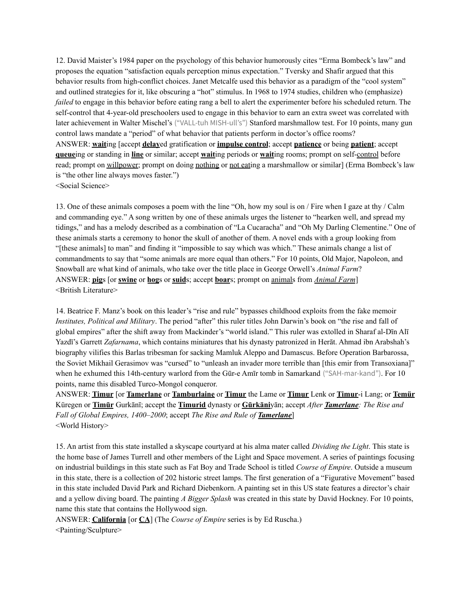12. David Maister's 1984 paper on the psychology of this behavior humorously cites "Erma Bombeck's law" and proposes the equation "satisfaction equals perception minus expectation." Tversky and Shafir argued that this behavior results from high-conflict choices. Janet Metcalfe used this behavior as a paradigm of the "cool system" and outlined strategies for it, like obscuring a "hot" stimulus. In 1968 to 1974 studies, children who (emphasize) *failed* to engage in this behavior before eating rang a bell to alert the experimenter before his scheduled return. The self-control that 4-year-old preschoolers used to engage in this behavior to earn an extra sweet was correlated with later achievement in Walter Mischel's ("VALL-tuh MISH-ull's") Stanford marshmallow test. For 10 points, many gun control laws mandate a "period" of what behavior that patients perform in doctor's office rooms? ANSWER: **wait**ing [accept **delay**ed gratification or **impulse control**; accept **patience** or being **patient**; accept **queue**ing or standing in **line** or similar; accept **wait**ing periods or **wait**ing rooms; prompt on self-control before read; prompt on willpower; prompt on doing nothing or not eating a marshmallow or similar] (Erma Bombeck's law is "the other line always moves faster.") <Social Science>

13. One of these animals composes a poem with the line "Oh, how my soul is on / Fire when I gaze at thy / Calm and commanding eye." A song written by one of these animals urges the listener to "hearken well, and spread my tidings," and has a melody described as a combination of "La Cucaracha" and "Oh My Darling Clementine." One of these animals starts a ceremony to honor the skull of another of them. A novel ends with a group looking from "[these animals] to man" and finding it "impossible to say which was which." These animals change a list of commandments to say that "some animals are more equal than others." For 10 points, Old Major, Napoleon, and Snowball are what kind of animals, who take over the title place in George Orwell's *Animal Farm*? ANSWER: **pig**s [or **swine** or **hog**s or **suid**s; accept **boar**s; prompt on animals from *Animal Farm*] <British Literature>

14. Beatrice F. Manz's book on this leader's "rise and rule" bypasses childhood exploits from the fake memoir *Institutes, Political and Military*. The period "after" this ruler titles John Darwin's book on "the rise and fall of global empires" after the shift away from Mackinder's "world island." This ruler was extolled in Sharaf al-Dīn Alī Yazdī's Garrett *Zafarnama*, which contains miniatures that his dynasty patronized in Herāt. Ahmad ibn Arabshah's biography vilifies this Barlas tribesman for sacking Mamluk Aleppo and Damascus. Before Operation Barbarossa, the Soviet Mikhail Gerasimov was "cursed" to "unleash an invader more terrible than [this emir from Transoxiana]" when he exhumed this 14th-century warlord from the Gūr-e Amīr tomb in Samarkand ("SAH-mar-kand"). For 10 points, name this disabled Turco-Mongol conqueror.

ANSWER: **Timur** [or **Tamerlane** or **Tamburlaine** or **Timur** the Lame or **Timur** Lenk or **Timur**-i Lang; or **Temür** Küregen or **Timūr** Gurkānī; accept the **Timurid** dynasty or **Gūrkāni**yān; accept *After Tamerlane: The Rise and Fall of Global Empires, 1400–2000*; accept *The Rise and Rule of Tamerlane*] <World History>

15. An artist from this state installed a skyscape courtyard at his alma mater called *Dividing the Light*. This state is the home base of James Turrell and other members of the Light and Space movement. A series of paintings focusing on industrial buildings in this state such as Fat Boy and Trade School is titled *Course of Empire*. Outside a museum in this state, there is a collection of 202 historic street lamps. The first generation of a "Figurative Movement" based in this state included David Park and Richard Diebenkorn. A painting set in this US state features a director's chair and a yellow diving board. The painting *A Bigger Splash* was created in this state by David Hockney. For 10 points, name this state that contains the Hollywood sign.

ANSWER: **California** [or **CA**] (The *Course of Empire* series is by Ed Ruscha.) <Painting/Sculpture>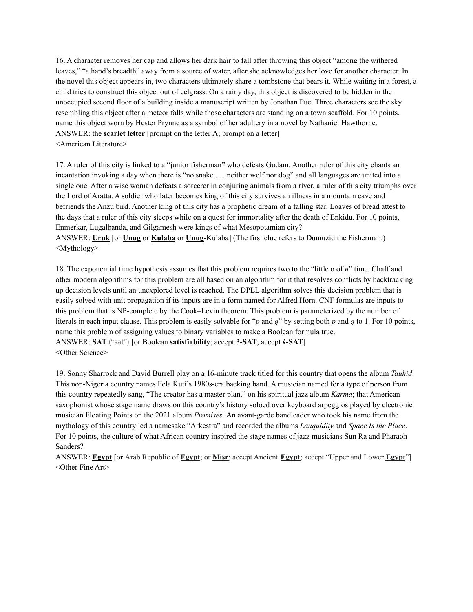16. A character removes her cap and allows her dark hair to fall after throwing this object "among the withered leaves," "a hand's breadth" away from a source of water, after she acknowledges her love for another character. In the novel this object appears in, two characters ultimately share a tombstone that bears it. While waiting in a forest, a child tries to construct this object out of eelgrass. On a rainy day, this object is discovered to be hidden in the unoccupied second floor of a building inside a manuscript written by Jonathan Pue. Three characters see the sky resembling this object after a meteor falls while those characters are standing on a town scaffold. For 10 points, name this object worn by Hester Prynne as a symbol of her adultery in a novel by Nathaniel Hawthorne. ANSWER: the **scarlet letter** [prompt on the letter A; prompt on a letter] <American Literature>

17. A ruler of this city is linked to a "junior fisherman" who defeats Gudam. Another ruler of this city chants an incantation invoking a day when there is "no snake . . . neither wolf nor dog" and all languages are united into a single one. After a wise woman defeats a sorcerer in conjuring animals from a river, a ruler of this city triumphs over the Lord of Aratta. A soldier who later becomes king of this city survives an illness in a mountain cave and befriends the Anzu bird. Another king of this city has a prophetic dream of a falling star. Loaves of bread attest to the days that a ruler of this city sleeps while on a quest for immortality after the death of Enkidu. For 10 points, Enmerkar, Lugalbanda, and Gilgamesh were kings of what Mesopotamian city? ANSWER: **Uruk** [or **Unug** or **Kulaba** or **Unug**-Kulaba] (The first clue refers to Dumuzid the Fisherman.) <Mythology>

18. The exponential time hypothesis assumes that this problem requires two to the "little o of *n*" time. Chaff and other modern algorithms for this problem are all based on an algorithm for it that resolves conflicts by backtracking up decision levels until an unexplored level is reached. The DPLL algorithm solves this decision problem that is easily solved with unit propagation if its inputs are in a form named for Alfred Horn. CNF formulas are inputs to this problem that is NP-complete by the Cook–Levin theorem. This problem is parameterized by the number of literals in each input clause. This problem is easily solvable for "*p* and *q*" by setting both *p* and *q* to 1. For 10 points, name this problem of assigning values to binary variables to make a Boolean formula true. ANSWER: **SAT** ("sat") [or Boolean **satisfiability**; accept 3-**SAT**; accept *k*-**SAT**] <Other Science>

19. Sonny Sharrock and David Burrell play on a 16-minute track titled for this country that opens the album *Tauhid*. This non-Nigeria country names Fela Kuti's 1980s-era backing band. A musician named for a type of person from this country repeatedly sang, "The creator has a master plan," on his spiritual jazz album *Karma*; that American saxophonist whose stage name draws on this country's history soloed over keyboard arpeggios played by electronic musician Floating Points on the 2021 album *Promises*. An avant-garde bandleader who took his name from the mythology of this country led a namesake "Arkestra" and recorded the albums *Lanquidity* and *Space Is the Place*. For 10 points, the culture of what African country inspired the stage names of jazz musicians Sun Ra and Pharaoh Sanders?

ANSWER: **Egypt** [or Arab Republic of **Egypt**; or **Miṣr**; accept Ancient **Egypt**; accept "Upper and Lower **Egypt**"] <Other Fine Art>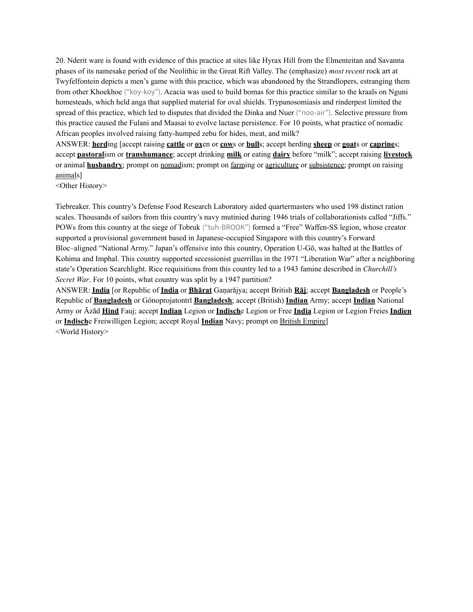20. Nderit ware is found with evidence of this practice at sites like Hyrax Hill from the Elmenteitan and Savanna phases of its namesake period of the Neolithic in the Great Rift Valley. The (emphasize) *most recent* rock art at Twyfelfontein depicts a men's game with this practice, which was abandoned by the Strandlopers, estranging them from other Khoekhoe ("koy-koy"). Acacia was used to build bomas for this practice similar to the kraals on Nguni homesteads, which held anga that supplied material for oval shields. Trypanosomiasis and rinderpest limited the spread of this practice, which led to disputes that divided the Dinka and Nuer ("noo-air"). Selective pressure from this practice caused the Fulani and Maasai to evolve lactase persistence. For 10 points, what practice of nomadic African peoples involved raising fatty-humped zebu for hides, meat, and milk?

ANSWER: **herd**ing [accept raising **cattle** or **ox**en or **cow**s or **bull**s; accept herding **sheep** or **goat**s or **caprine**s; accept **pastoral**ism or **transhumance**; accept drinking **milk** or eating **dairy** before "milk"; accept raising **livestock** or animal **husbandry**; prompt on nomadism; prompt on farming or agriculture or subsistence; prompt on raising animals]

<Other History>

Tiebreaker. This country's Defense Food Research Laboratory aided quartermasters who used 198 distinct ration scales. Thousands of sailors from this country's navy mutinied during 1946 trials of collaborationists called "Jiffs." POWs from this country at the siege of Tobruk ("tuh-BROOK") formed a "Free" Waffen-SS legion, whose creator supported a provisional government based in Japanese-occupied Singapore with this country's Forward Bloc–aligned "National Army." Japan's offensive into this country, Operation U-Gō, was halted at the Battles of Kohima and Imphal. This country supported secessionist guerrillas in the 1971 "Liberation War" after a neighboring state's Operation Searchlight. Rice requisitions from this country led to a 1943 famine described in *Churchill's Secret War*. For 10 points, what country was split by a 1947 partition?

ANSWER: **India** [or Republic of **India** or **Bhārat** Gaṇarājya; accept British **Rāj**; accept **Bangladesh** or People's Republic of **Bangladesh** or Gônoprojatontrī **Bangladesh**; accept (British) **Indian** Army; accept **Indian** National Army or Āzād **Hind** Fauj; accept **Indian** Legion or **Indisch**e Legion or Free **India** Legion or Legion Freies **Indien** or **Indisch**e Freiwilligen Legion; accept Royal **Indian** Navy; prompt on British Empire] <World History>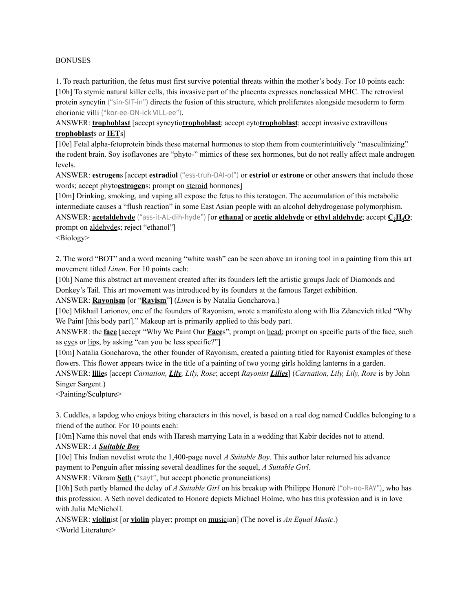#### BONUSES

1. To reach parturition, the fetus must first survive potential threats within the mother's body. For 10 points each: [10h] To stymie natural killer cells, this invasive part of the placenta expresses nonclassical MHC. The retroviral protein syncytin ("sin-SIT-in") directs the fusion of this structure, which proliferates alongside mesoderm to form chorionic villi ("kor-ee-ON-ick VILL-ee").

ANSWER: **trophoblast** [accept syncytio**trophoblast**; accept cyto**trophoblast**; accept invasive extravillous **trophoblast**s or **IET**s]

[10e] Fetal alpha-fetoprotein binds these maternal hormones to stop them from counterintuitively "masculinizing" the rodent brain. Soy isoflavones are "phyto-" mimics of these sex hormones, but do not really affect male androgen levels.

ANSWER: **estrogen**s [accept **estradiol** ("ess-truh-DAI-ol") or **estriol** or **estrone** or other answers that include those words; accept phyto**estrogen**s; prompt on steroid hormones]

[10m] Drinking, smoking, and vaping all expose the fetus to this teratogen. The accumulation of this metabolic intermediate causes a "flush reaction" in some East Asian people with an alcohol dehydrogenase polymorphism. ANSWER: **acetaldehyde** ("ass-it-AL-dih-hyde") [or **ethanal** or **acetic aldehyde** or **ethyl aldehyde**; accept **C2H4O**; prompt on aldehydes; reject "ethanol"]

<Biology>

2. The word "BOT" and a word meaning "white wash" can be seen above an ironing tool in a painting from this art movement titled *Linen*. For 10 points each:

[10h] Name this abstract art movement created after its founders left the artistic groups Jack of Diamonds and Donkey's Tail. This art movement was introduced by its founders at the famous Target exhibition.

ANSWER: **Rayonism** [or "**Rayism**"] (*Linen* is by Natalia Goncharova.)

[10e] Mikhail Larionov, one of the founders of Rayonism, wrote a manifesto along with Ilia Zdanevich titled "Why We Paint [this body part]." Makeup art is primarily applied to this body part.

ANSWER: the **face** [accept "Why We Paint Our **Face**s"; prompt on head; prompt on specific parts of the face, such as eyes or lips, by asking "can you be less specific?"]

[10m] Natalia Goncharova, the other founder of Rayonism, created a painting titled for Rayonist examples of these flowers. This flower appears twice in the title of a painting of two young girls holding lanterns in a garden.

ANSWER: **lilie**s [accept *Carnation, Lily, Lily, Rose*; accept *Rayonist Lilies*] (*Carnation, Lily, Lily, Rose* is by John Singer Sargent.)

<Painting/Sculpture>

3. Cuddles, a lapdog who enjoys biting characters in this novel, is based on a real dog named Cuddles belonging to a friend of the author. For 10 points each:

[10m] Name this novel that ends with Haresh marrying Lata in a wedding that Kabir decides not to attend. ANSWER: *A Suitable Boy*

[10e] This Indian novelist wrote the 1,400-page novel *A Suitable Boy*. This author later returned his advance payment to Penguin after missing several deadlines for the sequel, *A Suitable Girl*.

ANSWER: Vikram **Seth** ("sayt", but accept phonetic pronunciations)

[10h] Seth partly blamed the delay of *A Suitable Girl* on his breakup with Philippe Honoré ("oh-no-RAY"), who has this profession. A Seth novel dedicated to Honoré depicts Michael Holme, who has this profession and is in love with Julia McNicholl.

ANSWER: **violin**ist [or **violin** player; prompt on musician] (The novel is *An Equal Music*.) <World Literature>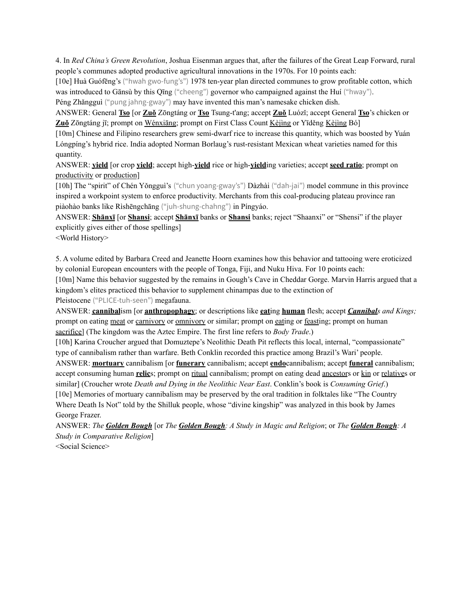4. In *Red China's Green Revolution*, Joshua Eisenman argues that, after the failures of the Great Leap Forward, rural people's communes adopted productive agricultural innovations in the 1970s. For 10 points each:

[10e] Huà Guófēng's ("hwah gwo-fung's") 1978 ten-year plan directed communes to grow profitable cotton, which was introduced to Gānsù by this Qīng ("cheeng") governor who campaigned against the Huí ("hway").

Péng Zhǎngguì ("pung jahng-gway") may have invented this man's namesake chicken dish.

ANSWER: General **Tso** [or **Zuǒ** Zōngtáng or **Tso** Tsung-t'ang; accept **Zuǒ** Luózǐ; accept General **Tso**'s chicken or **Zuǒ** Zōngtáng jī; prompt on Wénxiāng; prompt on First Class Count Kèjìng or Yīděng Kèjìng Bó]

[10m] Chinese and Filipino researchers grew semi-dwarf rice to increase this quantity, which was boosted by Yuán Lóngpíng's hybrid rice. India adopted Norman Borlaug's rust-resistant Mexican wheat varieties named for this quantity.

ANSWER: **yield** [or crop **yield**; accept high-**yield** rice or high-**yield**ing varieties; accept **seed ratio**; prompt on productivity or production]

[10h] The "spirit" of Chén Yǒngguì's ("chun yoang-gway's") Dàzhài ("dah-jai") model commune in this province inspired a workpoint system to enforce productivity. Merchants from this coal-producing plateau province ran piàohào banks like Rìshēngchāng ("juh-shung-chahng") in Píngyáo.

ANSWER: **Shānxī** [or **Shansi**; accept **Shānxī** banks or **Shansi** banks; reject "Shaanxi" or "Shensi" if the player explicitly gives either of those spellings]

<World History>

5. A volume edited by Barbara Creed and Jeanette Hoorn examines how this behavior and tattooing were eroticized by colonial European encounters with the people of Tonga, Fiji, and Nuku Hiva. For 10 points each:

[10m] Name this behavior suggested by the remains in Gough's Cave in Cheddar Gorge. Marvin Harris argued that a kingdom's elites practiced this behavior to supplement chinampas due to the extinction of

Pleistocene ("PLICE-tuh-seen") megafauna.

ANSWER: **cannibal**ism [or **anthropophagy**; or descriptions like **eat**ing **human** flesh; accept *Cannibals and Kings;* prompt on eating meat or carnivory or omnivory or similar; prompt on eating or feasting; prompt on human sacrifice] (The kingdom was the Aztec Empire. The first line refers to *Body Trade*.)

[10h] Karina Croucher argued that Domuztepe's Neolithic Death Pit reflects this local, internal, "compassionate" type of cannibalism rather than warfare. Beth Conklin recorded this practice among Brazil's Wari' people.

ANSWER: **mortuary** cannibalism [or **funerary** cannibalism; accept **endo**cannibalism; accept **funeral** cannibalism; accept consuming human **relic**s; prompt on ritual cannibalism; prompt on eating dead ancestors or kin or relatives or similar] (Croucher wrote *Death and Dying in the Neolithic Near East*. Conklin's book is *Consuming Grief*.) [10e] Memories of mortuary cannibalism may be preserved by the oral tradition in folktales like "The Country Where Death Is Not" told by the Shilluk people, whose "divine kingship" was analyzed in this book by James George Frazer.

ANSWER: The Golden Bough [or The Golden Bough: A Study in Magic and Religion; or The Golden Bough: A *Study in Comparative Religion*]

<Social Science>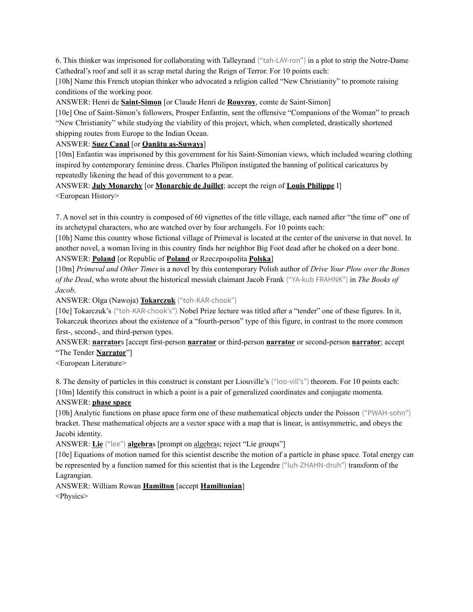6. This thinker was imprisoned for collaborating with Talleyrand ("tah-LAY-ron") in a plot to strip the Notre-Dame Cathedral's roof and sell it as scrap metal during the Reign of Terror. For 10 points each:

[10h] Name this French utopian thinker who advocated a religion called "New Christianity" to promote raising conditions of the working poor.

ANSWER: Henri de **Saint-Simon** [or Claude Henri de **Rouvroy**, comte de Saint-Simon]

[10e] One of Saint-Simon's followers, Prosper Enfantin, sent the offensive "Companions of the Woman" to preach "New Christianity" while studying the viability of this project, which, when completed, drastically shortened shipping routes from Europe to the Indian Ocean.

### ANSWER: **Suez Canal** [or **Qanātu as-Suways**]

[10m] Enfantin was imprisoned by this government for his Saint-Simonian views, which included wearing clothing inspired by contemporary feminine dress. Charles Philipon instigated the banning of political caricatures by repeatedly likening the head of this government to a pear.

ANSWER: **July Monarchy** [or **Monarchie de Juillet**; accept the reign of **Louis Philippe** I] <European History>

7. A novel set in this country is composed of 60 vignettes of the title village, each named after "the time of" one of its archetypal characters, who are watched over by four archangels. For 10 points each:

[10h] Name this country whose fictional village of Primeval is located at the center of the universe in that novel. In another novel, a woman living in this country finds her neighbor Big Foot dead after he choked on a deer bone. ANSWER: **Poland** [or Republic of **Poland** or Rzeczpospolita **Polska**]

[10m] *Primeval and Other Times* is a novel by this contemporary Polish author of *Drive Your Plow over the Bones of the Dead*, who wrote about the historical messiah claimant Jacob Frank ("YA-kub FRAHNK") in *The Books of Jacob*.

ANSWER: Olga (Nawoja) **Tokarczuk** ("toh-KAR-chook")

[10e] Tokarczuk's ("toh-KAR-chook's") Nobel Prize lecture was titled after a "tender" one of these figures. In it, Tokarczuk theorizes about the existence of a "fourth-person" type of this figure, in contrast to the more common first-, second-, and third-person types.

ANSWER: **narrator**s [accept first-person **narrator** or third-person **narrator** or second-person **narrator**; accept "The Tender **Narrator**"]

<European Literature>

8. The density of particles in this construct is constant per Liouville's ("loo-vill's") theorem. For 10 points each: [10m] Identify this construct in which a point is a pair of generalized coordinates and conjugate momenta.

## ANSWER: **phase space**

[10h] Analytic functions on phase space form one of these mathematical objects under the Poisson ("PWAH-sohn") bracket. These mathematical objects are a vector space with a map that is linear, is antisymmetric, and obeys the Jacobi identity.

ANSWER: **Lie** ("lee") **algebra**s [prompt on algebras; reject "Lie groups"]

[10e] Equations of motion named for this scientist describe the motion of a particle in phase space. Total energy can be represented by a function named for this scientist that is the Legendre ("luh-ZHAHN-druh") transform of the Lagrangian.

ANSWER: William Rowan **Hamilton** [accept **Hamiltonian**] <Physics>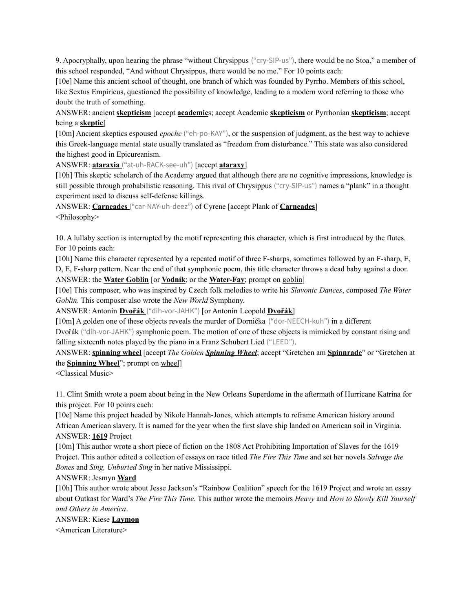9. Apocryphally, upon hearing the phrase "without Chrysippus ("cry-SIP-us"), there would be no Stoa," a member of this school responded, "And without Chrysippus, there would be no me." For 10 points each:

[10e] Name this ancient school of thought, one branch of which was founded by Pyrrho. Members of this school, like Sextus Empiricus, questioned the possibility of knowledge, leading to a modern word referring to those who doubt the truth of something.

ANSWER: ancient **skepticism** [accept **academic**s; accept Academic **skepticism** or Pyrrhonian **skepticism**; accept being a **skeptic**]

[10m] Ancient skeptics espoused *epoche* ("eh-po-KAY"), or the suspension of judgment, as the best way to achieve this Greek-language mental state usually translated as "freedom from disturbance." This state was also considered the highest good in Epicureanism.

ANSWER: **ataraxia** ("at-uh-RACK-see-uh") [accept **ataraxy**]

[10h] This skeptic scholarch of the Academy argued that although there are no cognitive impressions, knowledge is still possible through probabilistic reasoning. This rival of Chrysippus ("cry-SIP-us") names a "plank" in a thought experiment used to discuss self-defense killings.

ANSWER: **Carneades** ("car-NAY-uh-deez") of Cyrene [accept Plank of **Carneades**] <Philosophy>

10. A lullaby section is interrupted by the motif representing this character, which is first introduced by the flutes. For 10 points each:

[10h] Name this character represented by a repeated motif of three F-sharps, sometimes followed by an F-sharp, E, D, E, F-sharp pattern. Near the end of that symphonic poem, this title character throws a dead baby against a door. ANSWER: the **Water Goblin** [or **Vodník**; or the **Water-Fay**; prompt on goblin]

[10e] This composer, who was inspired by Czech folk melodies to write his *Slavonic Dances*, composed *The Water Goblin*. This composer also wrote the *New World* Symphony.

ANSWER: Antonín **Dvořák** ("dih-vor-JAHK") [or Antonín Leopold **Dvořák**]

[10m] A golden one of these objects reveals the murder of Dornička ("dor-NEECH-kuh") in a different

Dvořák ("dih-vor-JAHK") symphonic poem. The motion of one of these objects is mimicked by constant rising and falling sixteenth notes played by the piano in a Franz Schubert Lied ("LEED").

ANSWER: **spinning wheel** [accept *The Golden Spinning Wheel*; accept "Gretchen am **Spinnrade**" or "Gretchen at the **Spinning Wheel**"; prompt on wheel]

<Classical Music>

11. Clint Smith wrote a poem about being in the New Orleans Superdome in the aftermath of Hurricane Katrina for this project. For 10 points each:

[10e] Name this project headed by Nikole Hannah-Jones, which attempts to reframe American history around African American slavery. It is named for the year when the first slave ship landed on American soil in Virginia. ANSWER: **1619** Project

[10m] This author wrote a short piece of fiction on the 1808 Act Prohibiting Importation of Slaves for the 1619 Project. This author edited a collection of essays on race titled *The Fire This Time* and set her novels *Salvage the Bones* and *Sing, Unburied Sing* in her native Mississippi.

ANSWER: Jesmyn **Ward**

[10h] This author wrote about Jesse Jackson's "Rainbow Coalition" speech for the 1619 Project and wrote an essay about Outkast for Ward's *The Fire This Time*. This author wrote the memoirs *Heavy* and *How to Slowly Kill Yourself and Others in America*.

#### ANSWER: Kiese **Laymon**

<American Literature>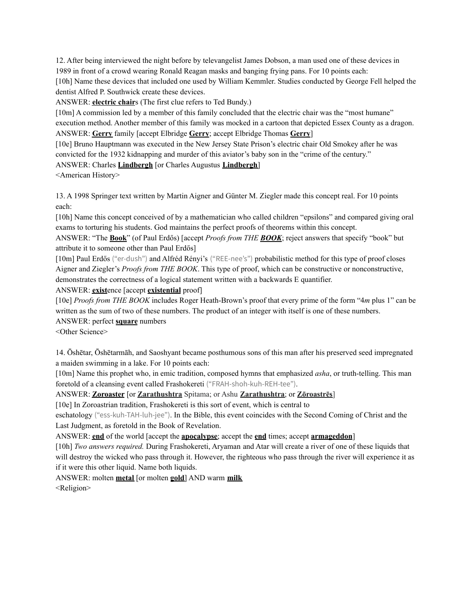12. After being interviewed the night before by televangelist James Dobson, a man used one of these devices in 1989 in front of a crowd wearing Ronald Reagan masks and banging frying pans. For 10 points each:

[10h] Name these devices that included one used by William Kemmler. Studies conducted by George Fell helped the dentist Alfred P. Southwick create these devices.

ANSWER: **electric chair**s (The first clue refers to Ted Bundy.)

[10m] A commission led by a member of this family concluded that the electric chair was the "most humane" execution method. Another member of this family was mocked in a cartoon that depicted Essex County as a dragon. ANSWER: **Gerry** family [accept Elbridge **Gerry**; accept Elbridge Thomas **Gerry**]

[10e] Bruno Hauptmann was executed in the New Jersey State Prison's electric chair Old Smokey after he was convicted for the 1932 kidnapping and murder of this aviator's baby son in the "crime of the century."

ANSWER: Charles **Lindbergh** [or Charles Augustus **Lindbergh**]

<American History>

13. A 1998 Springer text written by Martin Aigner and Günter M. Ziegler made this concept real. For 10 points each:

[10h] Name this concept conceived of by a mathematician who called children "epsilons" and compared giving oral exams to torturing his students. God maintains the perfect proofs of theorems within this concept.

ANSWER: "The **Book**" (of Paul Erdős) [accept *Proofs from THE BOOK*; reject answers that specify "book" but attribute it to someone other than Paul Erdős]

[10m] Paul Erdős ("er-dush") and Alfréd Rényi's ("REE-nee's") probabilistic method for this type of proof closes Aigner and Ziegler's *Proofs from THE BOOK*. This type of proof, which can be constructive or nonconstructive, demonstrates the correctness of a logical statement written with a backwards E quantifier.

ANSWER: **exist**ence [accept **existential** proof]

[10e] *Proofs from THE BOOK* includes Roger Heath-Brown's proof that every prime of the form "4*m* plus 1" can be written as the sum of two of these numbers. The product of an integer with itself is one of these numbers.

ANSWER: perfect **square** numbers

<Other Science>

14. Ōshētar, Ōshētarmāh, and Saoshyant became posthumous sons of this man after his preserved seed impregnated a maiden swimming in a lake. For 10 points each:

[10m] Name this prophet who, in emic tradition, composed hymns that emphasized *asha*, or truth-telling. This man foretold of a cleansing event called Frashokereti ("FRAH-shoh-kuh-REH-tee").

ANSWER: **Zoroaster** [or **Zarathushtra** Spitama; or Ashu **Zarathushtra**; or **Zōroastrēs**]

[10e] In Zoroastrian tradition, Frashokereti is this sort of event, which is central to

eschatology ("ess-kuh-TAH-luh-jee"). In the Bible, this event coincides with the Second Coming of Christ and the Last Judgment, as foretold in the Book of Revelation.

ANSWER: **end** of the world [accept the **apocalypse**; accept the **end** times; accept **armageddon**]

[10h] *Two answers required.* During Frashokereti, Aryaman and Atar will create a river of one of these liquids that will destroy the wicked who pass through it. However, the righteous who pass through the river will experience it as if it were this other liquid. Name both liquids.

ANSWER: molten **metal** [or molten **gold**] AND warm **milk** <Religion>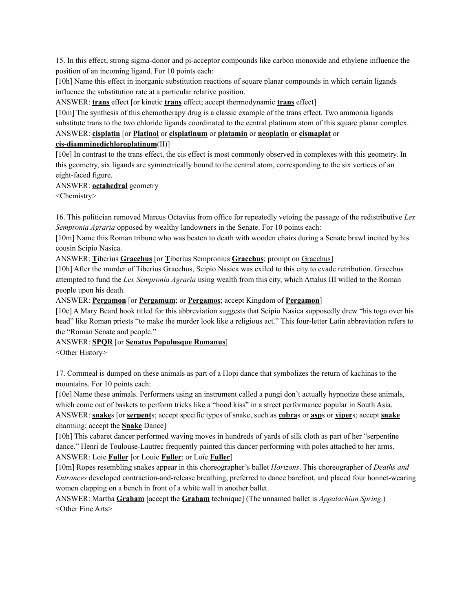15. In this effect, strong sigma-donor and pi-acceptor compounds like carbon monoxide and ethylene influence the position of an incoming ligand. For 10 points each:

[10h] Name this effect in inorganic substitution reactions of square planar compounds in which certain ligands influence the substitution rate at a particular relative position.

ANSWER: **trans** effect [or kinetic **trans** effect; accept thermodynamic **trans** effect]

[10m] The synthesis of this chemotherapy drug is a classic example of the trans effect. Two ammonia ligands substitute trans to the two chloride ligands coordinated to the central platinum atom of this square planar complex.

ANSWER: **cisplatin** [or **Platinol** or **cisplatinum** or **platamin** or **neoplatin** or **cismaplat** or

## **cis-diamminedichloroplatinum**(II)]

[10e] In contrast to the trans effect, the cis effect is most commonly observed in complexes with this geometry. In this geometry, six ligands are symmetrically bound to the central atom, corresponding to the six vertices of an eight-faced figure.

## ANSWER: **octahedral** geometry

<Chemistry>

16. This politician removed Marcus Octavius from office for repeatedly vetoing the passage of the redistributive *Lex Sempronia Agraria* opposed by wealthy landowners in the Senate. For 10 points each:

[10m] Name this Roman tribune who was beaten to death with wooden chairs during a Senate brawl incited by his cousin Scipio Nasica.

ANSWER: **T**iberius **Gracchus** [or **T**iberius Sempronius **Gracchus**; prompt on Gracchus]

[10h] After the murder of Tiberius Gracchus, Scipio Nasica was exiled to this city to evade retribution. Gracchus attempted to fund the *Lex Sempronia Agraria* using wealth from this city, which Attalus III willed to the Roman people upon his death.

ANSWER: **Pergamon** [or **Pergamum**; or **Pergamos**; accept Kingdom of **Pergamon**]

[10e] A Mary Beard book titled for this abbreviation suggests that Scipio Nasica supposedly drew "his toga over his head" like Roman priests "to make the murder look like a religious act." This four-letter Latin abbreviation refers to the "Roman Senate and people."

# ANSWER: **SPQR** [or **Senatus Populusque Romanus**]

<Other History>

17. Cornmeal is dumped on these animals as part of a Hopi dance that symbolizes the return of kachinas to the mountains. For 10 points each:

[10e] Name these animals. Performers using an instrument called a pungi don't actually hypnotize these animals, which come out of baskets to perform tricks like a "hood kiss" in a street performance popular in South Asia. ANSWER: **snake**s [or **serpent**s; accept specific types of snake, such as **cobra**s or **asp**s or **viper**s; accept **snake** charming; accept the **Snake** Dance]

[10h] This cabaret dancer performed waving moves in hundreds of yards of silk cloth as part of her "serpentine dance." Henri de Toulouse-Lautrec frequently painted this dancer performing with poles attached to her arms. ANSWER: Loie **Fuller** [or Louie **Fuller**; or Loïe **Fuller**]

[10m] Ropes resembling snakes appear in this choreographer's ballet *Horizons*. This choreographer of *Deaths and Entrances* developed contraction-and-release breathing, preferred to dance barefoot, and placed four bonnet-wearing women clapping on a bench in front of a white wall in another ballet.

ANSWER: Martha **Graham** [accept the **Graham** technique] (The unnamed ballet is *Appalachian Spring*.) <Other Fine Arts>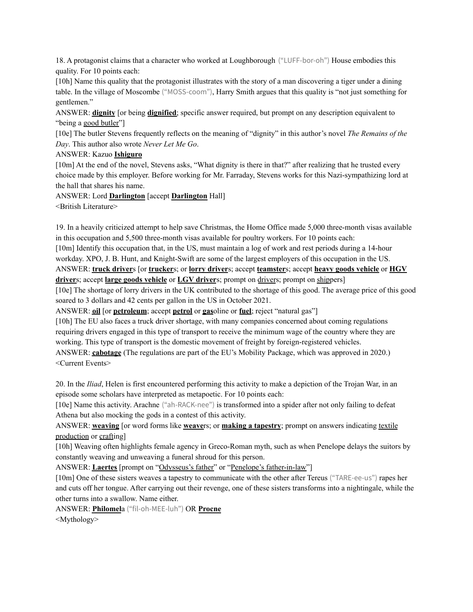18. A protagonist claims that a character who worked at Loughborough ("LUFF-bor-oh") House embodies this quality. For 10 points each:

[10h] Name this quality that the protagonist illustrates with the story of a man discovering a tiger under a dining table. In the village of Moscombe ("MOSS-coom"), Harry Smith argues that this quality is "not just something for gentlemen."

ANSWER: **dignity** [or being **dignified**; specific answer required, but prompt on any description equivalent to "being a good butler"]

[10e] The butler Stevens frequently reflects on the meaning of "dignity" in this author's novel *The Remains of the Day*. This author also wrote *Never Let Me Go*.

ANSWER: Kazuo **Ishiguro**

[10m] At the end of the novel, Stevens asks, "What dignity is there in that?" after realizing that he trusted every choice made by this employer. Before working for Mr. Farraday, Stevens works for this Nazi-sympathizing lord at the hall that shares his name.

ANSWER: Lord **Darlington** [accept **Darlington** Hall]

<British Literature>

19. In a heavily criticized attempt to help save Christmas, the Home Office made 5,000 three-month visas available in this occupation and 5,500 three-month visas available for poultry workers. For 10 points each:

[10m] Identify this occupation that, in the US, must maintain a log of work and rest periods during a 14-hour workday. XPO, J. B. Hunt, and Knight-Swift are some of the largest employers of this occupation in the US. ANSWER: **truck driver**s [or **trucker**s; or **lorry driver**s; accept **teamster**s; accept **heavy goods vehicle** or **HGV driver**s; accept **large goods vehicle** or **LGV driver**s; prompt on drivers; prompt on shippers]

[10e] The shortage of lorry drivers in the UK contributed to the shortage of this good. The average price of this good soared to 3 dollars and 42 cents per gallon in the US in October 2021.

ANSWER: **oil** [or **petroleum**; accept **petrol** or **gas**oline or **fuel**; reject "natural gas"]

[10h] The EU also faces a truck driver shortage, with many companies concerned about coming regulations requiring drivers engaged in this type of transport to receive the minimum wage of the country where they are working. This type of transport is the domestic movement of freight by foreign-registered vehicles. ANSWER: **cabotage** (The regulations are part of the EU's Mobility Package, which was approved in 2020.) <Current Events>

20. In the *Iliad*, Helen is first encountered performing this activity to make a depiction of the Trojan War, in an episode some scholars have interpreted as metapoetic. For 10 points each:

[10e] Name this activity. Arachne ("ah-RACK-nee") is transformed into a spider after not only failing to defeat Athena but also mocking the gods in a contest of this activity.

ANSWER: **weaving** [or word forms like **weave**rs; or **making a tapestry**; prompt on answers indicating textile production or crafting]

[10h] Weaving often highlights female agency in Greco-Roman myth, such as when Penelope delays the suitors by constantly weaving and unweaving a funeral shroud for this person.

ANSWER: **Laertes** [prompt on "Odysseus's father" or "Penelope's father-in-law"]

[10m] One of these sisters weaves a tapestry to communicate with the other after Tereus ("TARE-ee-us") rapes her and cuts off her tongue. After carrying out their revenge, one of these sisters transforms into a nightingale, while the other turns into a swallow. Name either.

ANSWER: **Philomel**a ("fil-oh-MEE-luh") OR **Procne**

<Mythology>